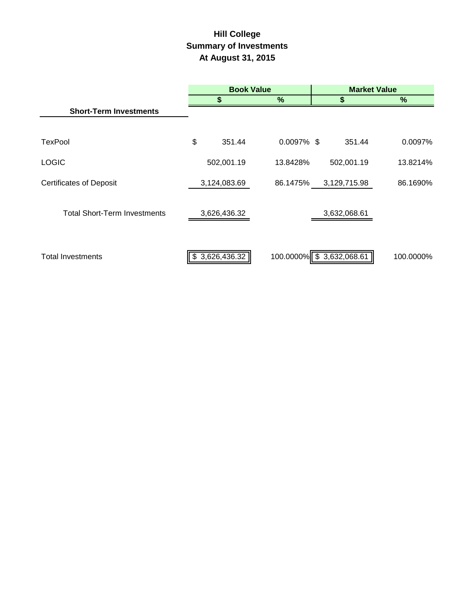# **Hill College Summary of Investments At August 31, 2015**

|                                     | <b>Book Value</b> |                |                          | <b>Market Value</b> |              |               |
|-------------------------------------|-------------------|----------------|--------------------------|---------------------|--------------|---------------|
|                                     |                   | \$             | %                        |                     |              | $\frac{9}{6}$ |
| <b>Short-Term Investments</b>       |                   |                |                          |                     |              |               |
|                                     |                   |                |                          |                     |              |               |
| <b>TexPool</b>                      | \$                | 351.44         | $0.0097\%$ \$            |                     | 351.44       | 0.0097%       |
| <b>LOGIC</b>                        |                   | 502,001.19     | 13.8428%                 |                     | 502,001.19   | 13.8214%      |
| <b>Certificates of Deposit</b>      |                   | 3,124,083.69   | 86.1475%                 |                     | 3,129,715.98 | 86.1690%      |
| <b>Total Short-Term Investments</b> |                   | 3,626,436.32   |                          |                     | 3,632,068.61 |               |
| <b>Total Investments</b>            |                   | \$3,626,436.32 | 100.0000% \$3,632,068.61 |                     |              | 100.0000%     |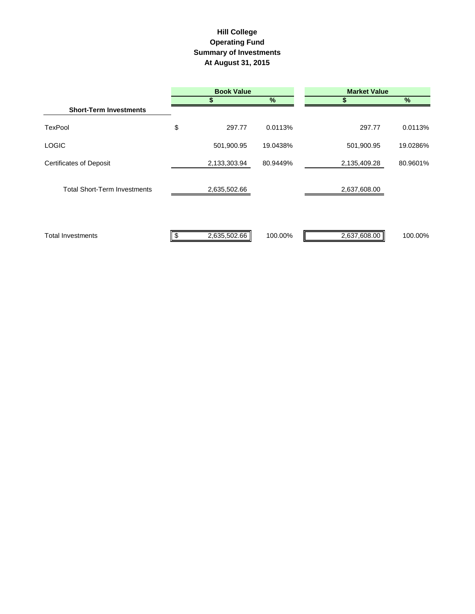## **Hill College Operating Fund Summary of Investments At August 31, 2015**

|                                     | <b>Book Value</b>  |          | <b>Market Value</b> |          |  |  |
|-------------------------------------|--------------------|----------|---------------------|----------|--|--|
|                                     |                    | %        |                     | $\%$     |  |  |
| <b>Short-Term Investments</b>       |                    |          |                     |          |  |  |
| <b>TexPool</b>                      | \$<br>297.77       | 0.0113%  | 297.77              | 0.0113%  |  |  |
| <b>LOGIC</b>                        | 501,900.95         | 19.0438% | 501,900.95          | 19.0286% |  |  |
| <b>Certificates of Deposit</b>      | 2,133,303.94       | 80.9449% | 2,135,409.28        | 80.9601% |  |  |
| <b>Total Short-Term Investments</b> | 2,635,502.66       |          | 2,637,608.00        |          |  |  |
| <b>Total Investments</b>            | \$<br>2,635,502.66 | 100.00%  | 2,637,608.00        | 100.00%  |  |  |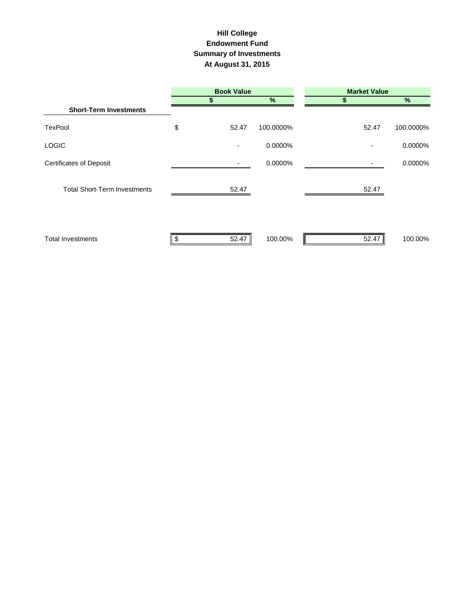#### **Hill College Endowment Fund Summary of Investments At August 31, 2015**

|                                     | <b>Book Value</b>        |               | <b>Market Value</b> |           |  |  |
|-------------------------------------|--------------------------|---------------|---------------------|-----------|--|--|
|                                     |                          | $\frac{9}{6}$ |                     | %         |  |  |
| <b>Short-Term Investments</b>       |                          |               |                     |           |  |  |
| TexPool                             | \$<br>52.47              | 100.0000%     | 52.47               | 100.0000% |  |  |
| LOGIC                               | $\overline{\phantom{a}}$ | 0.0000%       |                     | 0.0000%   |  |  |
| <b>Certificates of Deposit</b>      |                          | 0.0000%       |                     | 0.0000%   |  |  |
| <b>Total Short-Term Investments</b> | 52.47                    |               | 52.47               |           |  |  |
| <b>Total Investments</b>            | 52.47                    | 100.00%       | 52.47               | 100.00%   |  |  |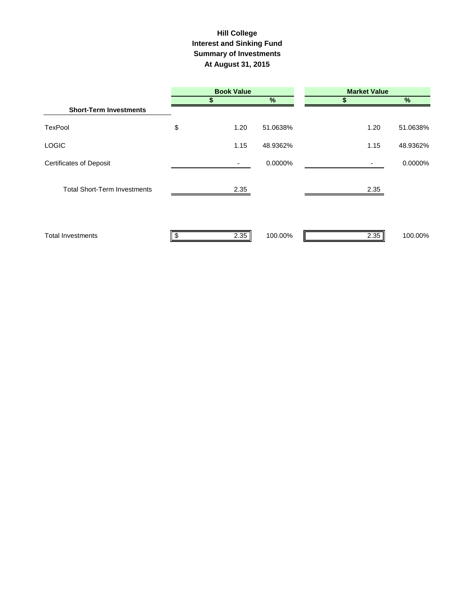#### **Interest and Sinking Fund Summary of Investments At August 31, 2015 Hill College**

|                                     | <b>Book Value</b> |          | <b>Market Value</b> |          |
|-------------------------------------|-------------------|----------|---------------------|----------|
|                                     | S                 | $\%$     | S                   | $\%$     |
| <b>Short-Term Investments</b>       |                   |          |                     |          |
| TexPool                             | \$<br>1.20        | 51.0638% | 1.20                | 51.0638% |
| <b>LOGIC</b>                        | 1.15              | 48.9362% | 1.15                | 48.9362% |
| <b>Certificates of Deposit</b>      |                   | 0.0000%  | ۰.                  | 0.0000%  |
| <b>Total Short-Term Investments</b> | 2.35              |          | 2.35                |          |
| <b>Total Investments</b>            | 2.35              | 100.00%  | 2.35                | 100.00%  |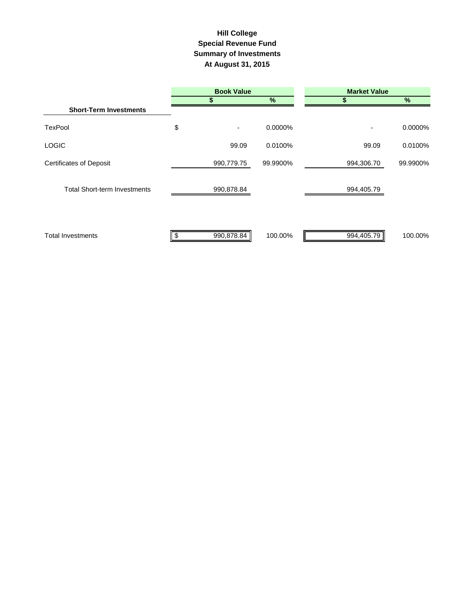### **Summary of Investments At August 31, 2015 Special Revenue Fund Hill College**

|                                     | <b>Book Value</b> |          | <b>Market Value</b> |          |  |  |
|-------------------------------------|-------------------|----------|---------------------|----------|--|--|
|                                     |                   | %        |                     | %        |  |  |
| <b>Short-Term Investments</b>       |                   |          |                     |          |  |  |
| <b>TexPool</b>                      | \$                | 0.0000%  | ٠                   | 0.0000%  |  |  |
| <b>LOGIC</b>                        | 99.09             | 0.0100%  | 99.09               | 0.0100%  |  |  |
| <b>Certificates of Deposit</b>      | 990,779.75        | 99.9900% | 994,306.70          | 99.9900% |  |  |
| <b>Total Short-term Investments</b> | 990,878.84        |          | 994,405.79          |          |  |  |
| <b>Total Investments</b>            | 990,878.84        | 100.00%  | 994,405.79          | 100.00%  |  |  |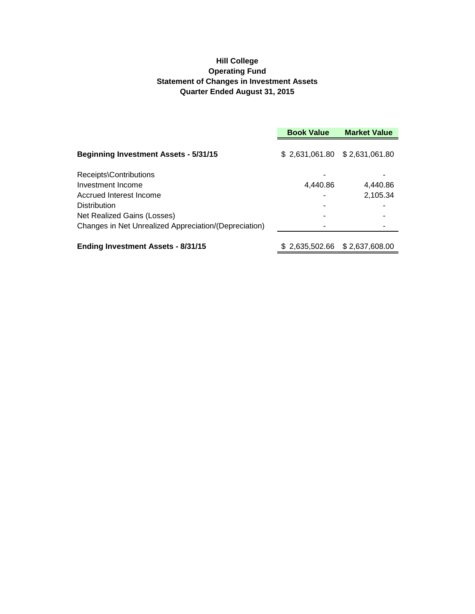#### **Hill College Operating Fund Statement of Changes in Investment Assets Quarter Ended August 31, 2015**

|                                                       | <b>Market Value</b><br><b>Book Value</b> |                |  |
|-------------------------------------------------------|------------------------------------------|----------------|--|
| <b>Beginning Investment Assets - 5/31/15</b>          |                                          |                |  |
| Receipts\Contributions                                |                                          |                |  |
| Investment Income                                     | 4,440.86                                 | 4,440.86       |  |
| Accrued Interest Income                               |                                          | 2,105.34       |  |
| <b>Distribution</b>                                   |                                          |                |  |
| Net Realized Gains (Losses)                           |                                          |                |  |
| Changes in Net Unrealized Appreciation/(Depreciation) |                                          |                |  |
| <b>Ending Investment Assets - 8/31/15</b>             | \$2,635,502.66                           | \$2,637,608.00 |  |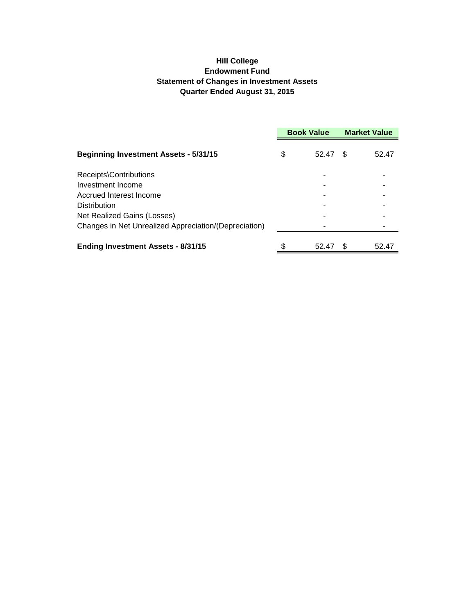### **Hill College Endowment Fund Statement of Changes in Investment Assets Quarter Ended August 31, 2015**

|                                                       | <b>Book Value</b> |       | <b>Market Value</b> |       |
|-------------------------------------------------------|-------------------|-------|---------------------|-------|
| <b>Beginning Investment Assets - 5/31/15</b>          | S                 | 52.47 | \$.                 | 52.47 |
| Receipts\Contributions                                |                   |       |                     |       |
| Investment Income                                     |                   |       |                     |       |
| Accrued Interest Income                               |                   |       |                     |       |
| Distribution                                          |                   |       |                     |       |
| Net Realized Gains (Losses)                           |                   |       |                     |       |
| Changes in Net Unrealized Appreciation/(Depreciation) |                   |       |                     |       |
| <b>Ending Investment Assets - 8/31/15</b>             | \$                | 52.47 | \$.                 | 52.47 |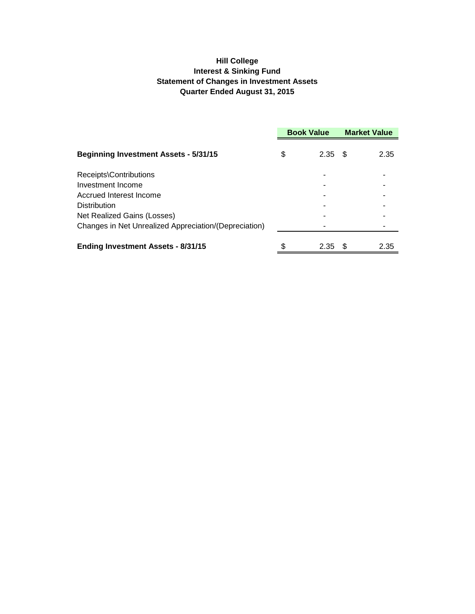### **Hill College Interest & Sinking Fund Statement of Changes in Investment Assets Quarter Ended August 31, 2015**

|                                                       | <b>Book Value</b> |      | <b>Market Value</b> |      |
|-------------------------------------------------------|-------------------|------|---------------------|------|
| <b>Beginning Investment Assets - 5/31/15</b>          | \$                | 2.35 | - \$                | 2.35 |
| Receipts\Contributions                                |                   |      |                     |      |
| Investment Income                                     |                   |      |                     |      |
| Accrued Interest Income                               |                   |      |                     |      |
| <b>Distribution</b>                                   |                   |      |                     |      |
| Net Realized Gains (Losses)                           |                   |      |                     |      |
| Changes in Net Unrealized Appreciation/(Depreciation) |                   |      |                     |      |
| <b>Ending Investment Assets - 8/31/15</b>             | \$                | 2.35 | - \$                | 2.35 |